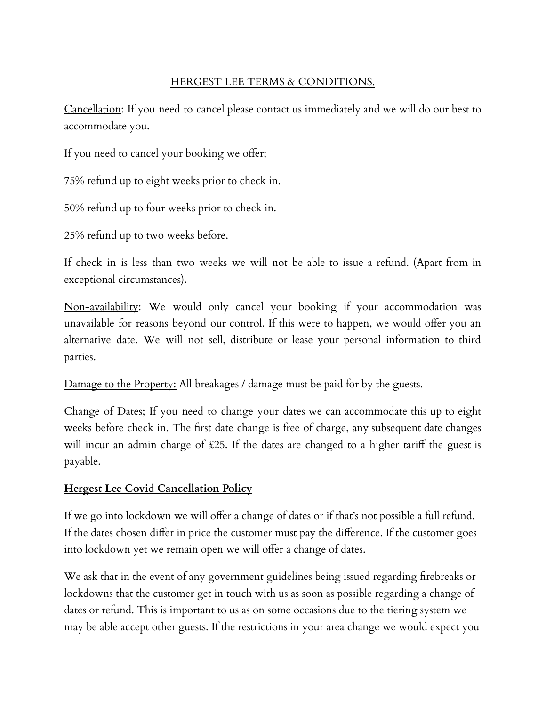## HERGEST LEE TERMS & CONDITIONS.

Cancellation: If you need to cancel please contact us immediately and we will do our best to accommodate you.

If you need to cancel your booking we offer;

75% refund up to eight weeks prior to check in.

50% refund up to four weeks prior to check in.

25% refund up to two weeks before.

If check in is less than two weeks we will not be able to issue a refund. (Apart from in exceptional circumstances).

Non-availability: We would only cancel your booking if your accommodation was unavailable for reasons beyond our control. If this were to happen, we would offer you an alternative date. We will not sell, distribute or lease your personal information to third parties.

Damage to the Property: All breakages / damage must be paid for by the guests.

Change of Dates; If you need to change your dates we can accommodate this up to eight weeks before check in. The first date change is free of charge, any subsequent date changes will incur an admin charge of £25. If the dates are changed to a higher tariff the guest is payable.

## **Hergest Lee Covid Cancellation Policy**

If we go into lockdown we will offer a change of dates or if that's not possible a full refund. If the dates chosen differ in price the customer must pay the difference. If the customer goes into lockdown yet we remain open we will offer a change of dates.

We ask that in the event of any government guidelines being issued regarding firebreaks or lockdowns that the customer get in touch with us as soon as possible regarding a change of dates or refund. This is important to us as on some occasions due to the tiering system we may be able accept other guests. If the restrictions in your area change we would expect you